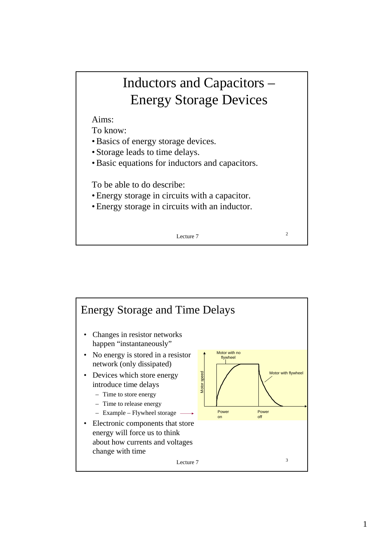## Inductors and Capacitors – Energy Storage Devices

Aims:

To know:

- Basics of energy storage devices.
- Storage leads to time delays.
- Basic equations for inductors and capacitors.

To be able to do describe:

- Energy storage in circuits with a capacitor.
- Energy storage in circuits with an inductor.

Lecture  $7$  2

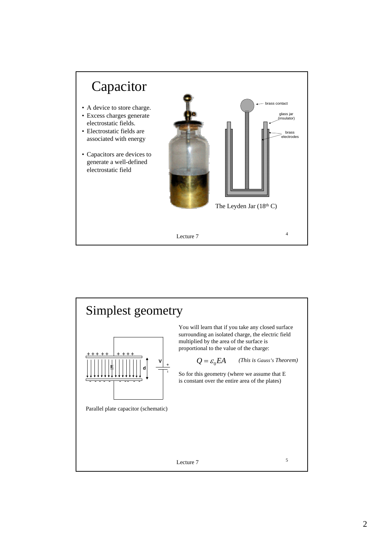

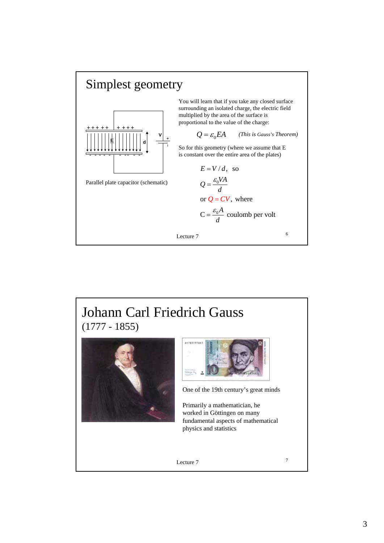

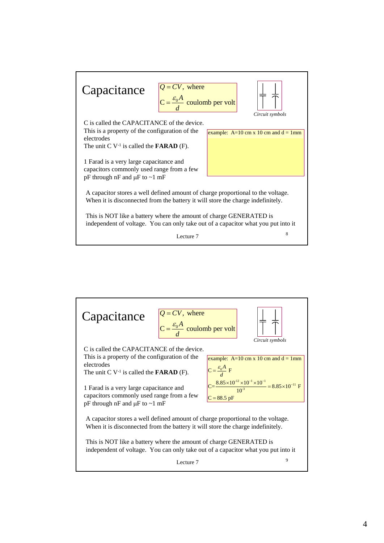

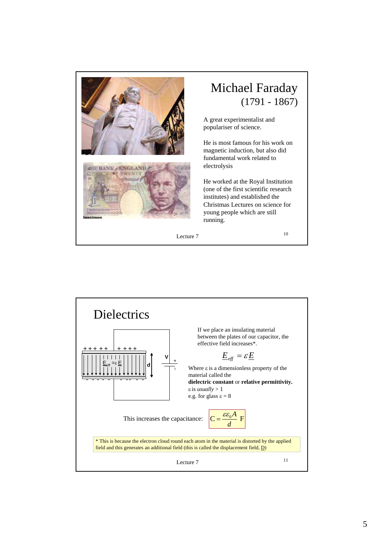

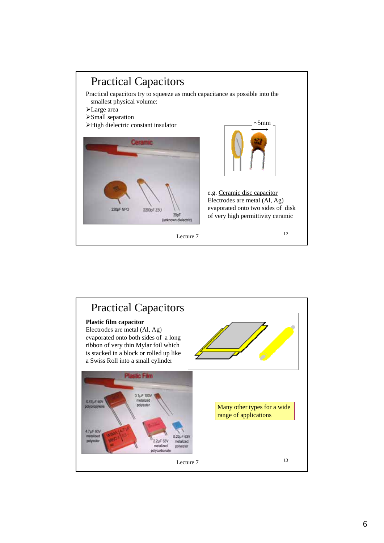

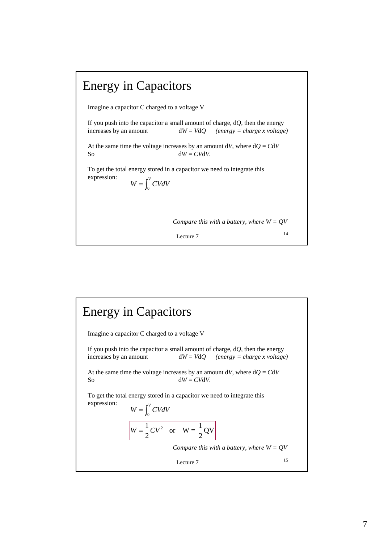

## Lecture  $7 \t\t 15$ Energy in Capacitors Imagine a capacitor C charged to a voltage V If you push into the capacitor a small amount of charge, d*Q*, then the energy increases by an amount d*W* = *V*d*Q (energy = charge x voltage)* At the same time the voltage increases by an amount  $dV$ , where  $dQ = CdV$ So  $dW = CVdV$ . To get the total energy stored in a capacitor we need to integrate this expression: 0  $W = \int_0^V CVdV$  $W = \frac{1}{2}CV^2$  or  $W = \frac{1}{2}QV$ *Compare this with a battery, where W = QV*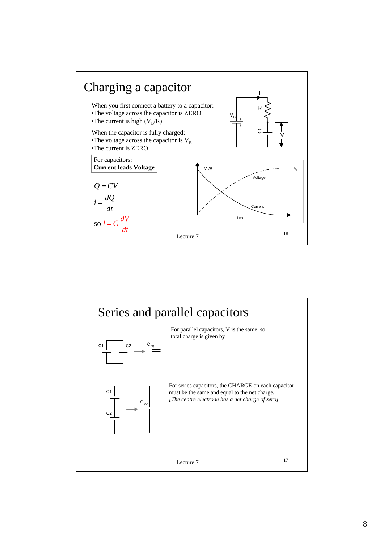

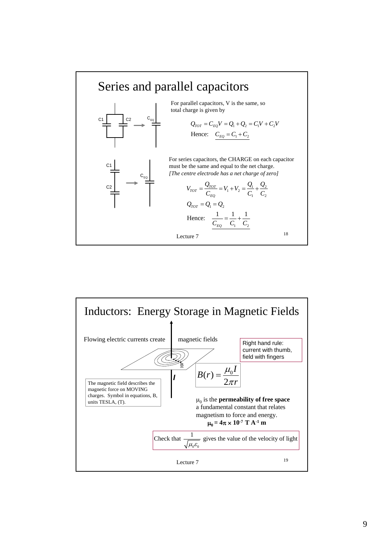

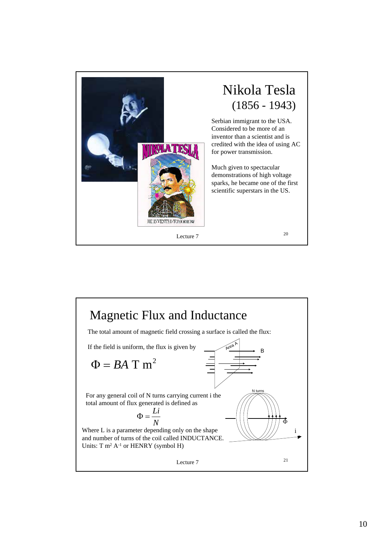

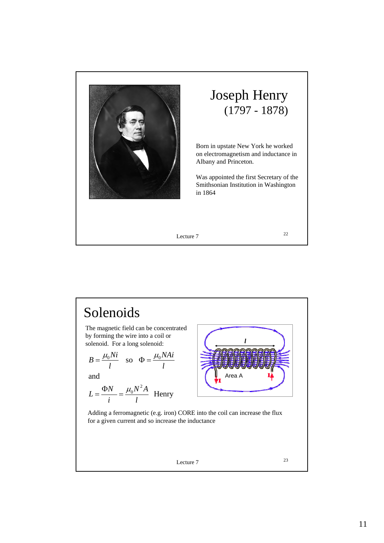

## Joseph Henry (1797 - 1878)

Born in upstate New York he worked on electromagnetism and inductance in Albany and Princeton.

Was appointed the first Secretary of the Smithsonian Institution in Washington in 1864

Lecture  $7$  22

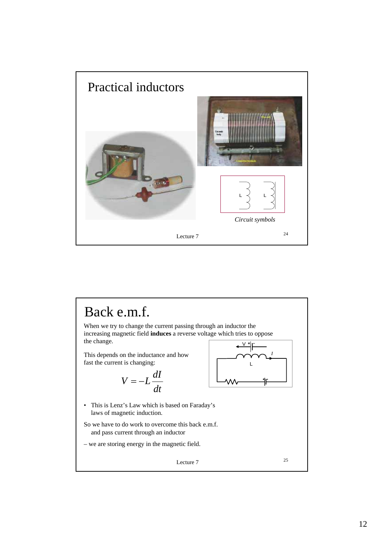

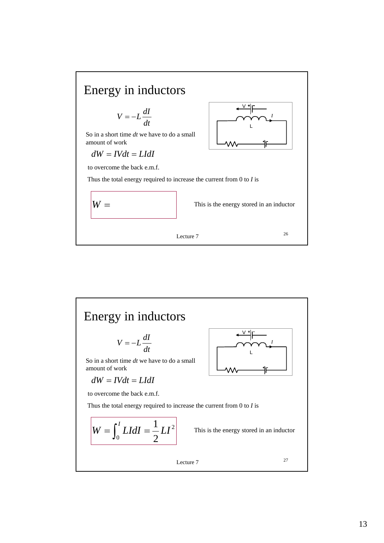

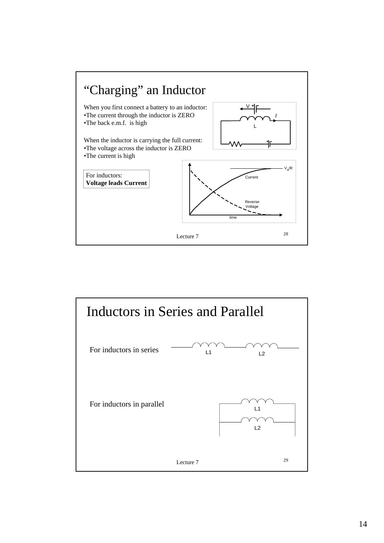